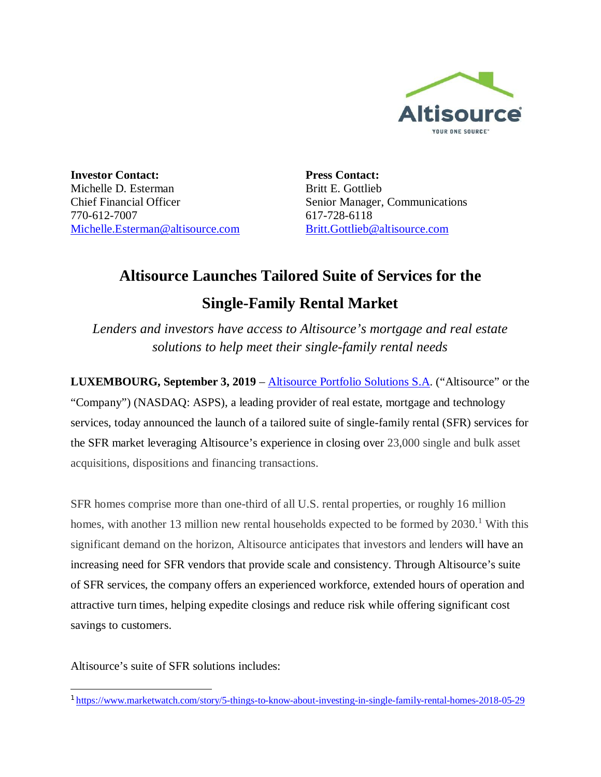

**Investor Contact:** Michelle D. Esterman Chief Financial Officer 770-612-7007 Michelle.Esterman@altisource.com **Press Contact:** Britt E. Gottlieb Senior Manager, Communications 617-728-6118 Britt.Gottlieb@altisource.com

## **Altisource Launches Tailored Suite of Services for the Single-Family Rental Market**

*Lenders and investors have access to Altisource's mortgage and real estate solutions to help meet their single-family rental needs*

**LUXEMBOURG, September 3, 2019** – Altisource Portfolio Solutions S.A. ("Altisource" or the "Company") (NASDAQ: ASPS), a leading provider of real estate, mortgage and technology services, today announced the launch of a tailored suite of single-family rental (SFR) services for the SFR market leveraging Altisource's experience in closing over 23,000 single and bulk asset acquisitions, dispositions and financing transactions.

SFR homes comprise more than one-third of all U.S. rental properties, or roughly 16 million homes, with another 13 million new rental households expected to be formed by 2030.<sup>1</sup> With this significant demand on the horizon, Altisource anticipates that investors and lenders will have an increasing need for SFR vendors that provide scale and consistency. Through Altisource's suite of SFR services, the company offers an experienced workforce, extended hours of operation and attractive turn times, helping expedite closings and reduce risk while offering significant cost savings to customers.

Altisource's suite of SFR solutions includes:

<sup>1</sup> https://www.marketwatch.com/story/5-things-to-know-about-investing-in-single-family-rental-homes-2018-05-29